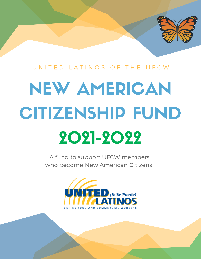

# NEW AMERICAN CITIZENSHIP FUND 2021-2022

A fund to support UFCW members who become New American Citizens

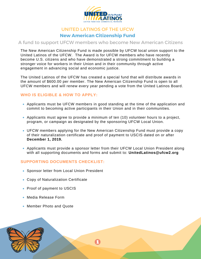

# UNITED LATINOS OF THE UFCW **New American Citizenship Fund**

## A fund to support UFCW members who become New American Citizens

The New American Citizenship Fund is made possible by UFCW local union support to the United Latinos of the UFCW. The Award is for UFCW members who have recently become U.S. citizens and who have demonstrated a strong commitment to building a stronger voice for workers in their Union and in their community through active engagement in advancing social and economic justice.

The United Latinos of the UFCW has created a special fund that will distribute awards in the amount of \$600.00 per member. The New American Citizenship Fund is open to all UFCW members and will renew every year pending a vote from the United Latinos Board.

# **WHO IS ELIGIBLE & HOW TO APPLY:**

- Applicants must be UFCW members in good standing at the time of the application and commit to becoming active participants in their Union and in their communities.
- Applicants must agree to provide a minimum of ten (10) volunteer hours to a project, program, or campaign as designated by the sponsoring UFCW Local Union.
- UFCW members applying for the New American Citizenship Fund must provide a copy of their naturalization certificate and proof of payment to USCIS dated on or after **December 1, 2019.**
- Applicants must provide a sponsor letter from their UFCW Local Union President along with all supporting documents and forms and submit to: **UnitedLatinos@ufcw2.org**

#### **SUPPORTING DOCUMENTS CHECKLIST:**

- Sponsor letter from Local Union President
- Copy of Naturalization Certificate
- Proof of payment to USCIS
- Media Release Form
- Member Photo and Quote

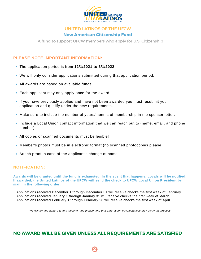

# UNITED LATINOS OF THE UFCW **New American Citizenship Fund**

A fund to support UFCW members who apply for U.S. Citizenship

### **PLEASE NOTE IMPORTANT INFORMATION:**

- The application period is from **12/1/2021 to 3/1/2022**
- We will only consider applications submitted during that application period.
- All awards are based on available funds.
- Each applicant may only apply once for the award.
- If you have previously applied and have not been awarded you must resubmit your application and qualify under the new requirements.
- Make sure to include the number of years/months of membership in the sponsor letter.
- Include a Local Union contact information that we can reach out to (name, email, and phone number).
- All copies or scanned documents must be legible!
- Member's photos must be in electronic format (no scanned photocopies please).
- Attach proof in case of the applicant's change of name.

#### **NOTIFICATION:**

Awards will be granted until the fund is exhausted. In the event that happens, Locals will be notified. **If awarded, the United Latinos of the UFCW will send the check to UFCW Local Union President by mail, in the following order:**

Applications received December 1 through December 31 will receive checks the first week of February Applications received January 1 through January 31 will receive checks the first week of March Applications received February 1 through February 28 will receive checks the first week of April

We will try and adhere to this timeline, and please note that unforeseen circumstances may delay the process.

# **NO AWARD WILL BE GIVEN UNLESS ALL REQUIREMENTS ARE SATISFIED**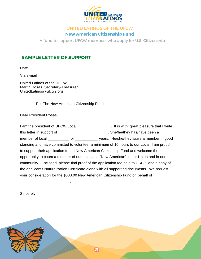

# UNITED LATINOS OF THE UFCW **New American Citizenship Fund**

A fund to support UFCW members who apply for U.S. Citizenship

# **SAMPLE LETTER OF SUPPORT**

Date

Via e-mail

United Latinos of the UFCW Martin Rosas, Secretary-Treasurer UnitedLatinos@ufcw2.org

Re: The New American Citizenship Fund

Dear President Rosas,

| I am the president of UFCW Local                                                                                                                                                                                               |  |  | . It is with great pleasure that I write                                                  |  |  |  |  |
|--------------------------------------------------------------------------------------------------------------------------------------------------------------------------------------------------------------------------------|--|--|-------------------------------------------------------------------------------------------|--|--|--|--|
| this letter in support of                                                                                                                                                                                                      |  |  | . She/he/they has/have been a                                                             |  |  |  |  |
| member of local for the state of the state of the state of the state of the state of the state of the state of the state of the state of the state of the state of the state of the state of the state of the state of the sta |  |  | years. He/she/they is/are a member in good                                                |  |  |  |  |
|                                                                                                                                                                                                                                |  |  | standing and have committed to volunteer a minimum of 10 hours to our Local. I am proud   |  |  |  |  |
| to support their application to the New American Citizenship Fund and welcome the                                                                                                                                              |  |  |                                                                                           |  |  |  |  |
| opportunity to count a member of our local as a "New American" in our Union and in our                                                                                                                                         |  |  |                                                                                           |  |  |  |  |
| community. Enclosed, please find proof of the application fee paid to USCIS and a copy of                                                                                                                                      |  |  |                                                                                           |  |  |  |  |
|                                                                                                                                                                                                                                |  |  | the applicants Naturalization Certificate along with all supporting documents. We request |  |  |  |  |
| your consideration for the \$600.00 New American Citizenship Fund on behalf of                                                                                                                                                 |  |  |                                                                                           |  |  |  |  |

Sincerely,

 $\mathcal{L}_\text{max}$  and  $\mathcal{L}_\text{max}$  and  $\mathcal{L}_\text{max}$ 

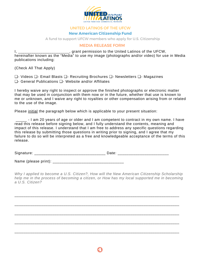

#### **New American Citizenship Fund**

A fund to support UFCW members who apply for U.S. Citizenship

#### MEDIA RELEASE FORM

I, the contract of the United Latinos of the UFCW, hereinafter known as the "Media" to use my image (photographs and/or video) for use in Media publications including:

(Check All That Apply)

❏- Videos ❏- Email Blasts ❏- Recruiting Brochures ❏- Newsletters ❏- Magazines ❏- General Publications ❏- Website and/or Affiliates

I hereby waive any right to inspect or approve the finished photographs or electronic matter that may be used in conjunction with them now or in the future, whether that use is known to me or unknown, and I waive any right to royalties or other compensation arising from or related to the use of the image.

Please initial the paragraph below which is applicable to your present situation:

\_\_\_\_\_ - I am 20 years of age or older and I am competent to contract in my own name. I have read this release before signing below, and I fully understand the contents, meaning and impact of this release. I understand that I am free to address any specific questions regarding this release by submitting those questions in writing prior to signing, and I agree that my failure to do so will be interpreted as a free and knowledgeable acceptance of the terms of this release.

Signature: \_\_\_\_\_\_\_\_\_\_\_\_\_\_\_\_\_\_\_\_\_\_\_\_\_\_\_\_\_\_\_\_ Date: \_\_\_\_\_\_\_\_\_\_\_\_\_\_\_\_\_\_\_\_\_\_\_

Name (please print): **We have also constant** 

*Why I applied to become a U.S. Citizen?, How will the New American Citizenship Scholarship help me in the process of becoming a citizen, or How has my local supported me in becoming a U.S. Citizen?*

\_\_\_\_\_\_\_\_\_\_\_\_\_\_\_\_\_\_\_\_\_\_\_\_\_\_\_\_\_\_\_\_\_\_\_\_\_\_\_\_\_\_\_\_\_\_\_\_\_\_\_\_\_\_\_\_\_\_\_\_\_\_\_\_\_\_\_\_\_\_\_\_\_\_

\_\_\_\_\_\_\_\_\_\_\_\_\_\_\_\_\_\_\_\_\_\_\_\_\_\_\_\_\_\_\_\_\_\_\_\_\_\_\_\_\_\_\_\_\_\_\_\_\_\_\_\_\_\_\_\_\_\_\_\_\_\_\_\_\_\_\_\_\_\_\_\_\_\_

\_\_\_\_\_\_\_\_\_\_\_\_\_\_\_\_\_\_\_\_\_\_\_\_\_\_\_\_\_\_\_\_\_\_\_\_\_\_\_\_\_\_\_\_\_\_\_\_\_\_\_\_\_\_\_\_\_\_\_\_\_\_\_\_\_\_\_\_\_\_\_\_\_\_

\_\_\_\_\_\_\_\_\_\_\_\_\_\_\_\_\_\_\_\_\_\_\_\_\_\_\_\_\_\_\_\_\_\_\_\_\_\_\_\_\_\_\_\_\_\_\_\_\_\_\_\_\_\_\_\_\_\_\_\_\_\_\_\_\_\_\_\_\_\_\_\_\_\_

\_\_\_\_\_\_\_\_\_\_\_\_\_\_\_\_\_\_\_\_\_\_\_\_\_\_\_\_\_\_\_\_\_\_\_\_\_\_\_\_\_\_\_\_\_\_\_\_\_\_\_\_\_\_\_\_\_\_\_\_\_\_\_\_\_\_\_\_\_\_\_\_\_\_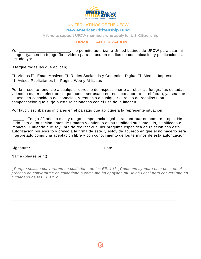

#### **New American Citizenship Fund**

A fund to support UFCW members who apply for U.S. Citizenship

#### FORMA DE AUTORIZACION

Yo, \_\_\_\_\_\_\_\_\_\_\_\_\_\_\_\_\_\_\_\_\_\_\_, me permito autorizar a United Latinos de UFCW para usar mi imagen (ya sea en fotografia o video) para su uso en medios de comunicacion y publicaciones, includenyo:

(Marque todas las que aplican)

❏- Videos ❏- Email Masivos ❏- Redes Socialeds y Contenido Digital ❏- Medios Impresos ❏- Avisos Publicitarios ❏- Pagina Web y Afiliadas

Por la presente renuncio a cualquier derecho de inspeccionar o aprobar las fotografias editadas, videos, o material electronico que pueda ser usado en respecto ahora o en el futuro, ya sea que su uso sea conocido o desconocido, y renuncio a cualquier derecho de regalias u otra compensacion que surja o este relacionadas con el uso de la imagen.

Por favor, escriba sus iniciales en el parrago que aplicque a la represente situacion:

\_\_\_\_\_ - Tengo 20 años o mas y tengo competencia legal para contratar en nombre propio. He leido esta autorizacion antes de firmarla y entiendo en su totalidad su contenido, significado e impacto. Entiendo que soy libre de realizar cualuier pregunta especifica en relacion con esta autorizacion por escrito y previo a la firma de este, y estoy de acuerdo en que el no hacerlo sera interpretado como una aceptacion libre y con conocimiento de los terminos de esta autorizacion.

Signature: \_\_\_\_\_\_\_\_\_\_\_\_\_\_\_\_\_\_\_\_\_\_\_\_\_\_\_\_\_\_\_\_ Date: \_\_\_\_\_\_\_\_\_\_\_\_\_\_\_\_\_\_\_\_\_\_\_

Name (please print): \_\_\_\_\_\_\_\_\_\_\_\_\_\_\_\_\_\_\_\_\_\_\_\_\_\_\_\_\_\_\_\_

¿*Porque solicite convertirme en cuidadano de los EE.UU? ¿Como me ayudara esta beca en el proceso de convertirme en cuidadano o como me ha apoyado mi Union Local para convertirme en cuidadano de los EE.UU?*

\_\_\_\_\_\_\_\_\_\_\_\_\_\_\_\_\_\_\_\_\_\_\_\_\_\_\_\_\_\_\_\_\_\_\_\_\_\_\_\_\_\_\_\_\_\_\_\_\_\_\_\_\_\_\_\_\_\_\_\_\_\_\_\_\_\_\_\_\_\_\_\_\_\_

\_\_\_\_\_\_\_\_\_\_\_\_\_\_\_\_\_\_\_\_\_\_\_\_\_\_\_\_\_\_\_\_\_\_\_\_\_\_\_\_\_\_\_\_\_\_\_\_\_\_\_\_\_\_\_\_\_\_\_\_\_\_\_\_\_\_\_\_\_\_\_\_\_\_

\_\_\_\_\_\_\_\_\_\_\_\_\_\_\_\_\_\_\_\_\_\_\_\_\_\_\_\_\_\_\_\_\_\_\_\_\_\_\_\_\_\_\_\_\_\_\_\_\_\_\_\_\_\_\_\_\_\_\_\_\_\_\_\_\_\_\_\_\_\_\_\_\_\_

\_\_\_\_\_\_\_\_\_\_\_\_\_\_\_\_\_\_\_\_\_\_\_\_\_\_\_\_\_\_\_\_\_\_\_\_\_\_\_\_\_\_\_\_\_\_\_\_\_\_\_\_\_\_\_\_\_\_\_\_\_\_\_\_\_\_\_\_\_\_\_\_\_\_

\_\_\_\_\_\_\_\_\_\_\_\_\_\_\_\_\_\_\_\_\_\_\_\_\_\_\_\_\_\_\_\_\_\_\_\_\_\_\_\_\_\_\_\_\_\_\_\_\_\_\_\_\_\_\_\_\_\_\_\_\_\_\_\_\_\_\_\_\_\_\_\_\_\_